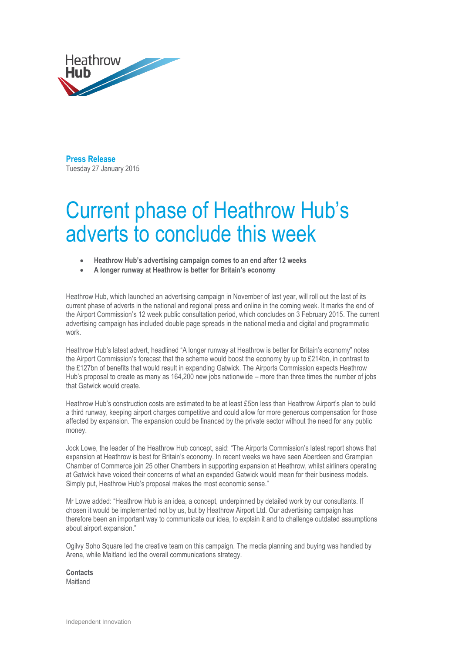

**Press Release**  Tuesday 27 January 2015

## Current phase of Heathrow Hub's adverts to conclude this week

- **Heathrow Hub's advertising campaign comes to an end after 12 weeks**
- **A longer runway at Heathrow is better for Britain's economy**

Heathrow Hub, which launched an advertising campaign in November of last year, will roll out the last of its current phase of adverts in the national and regional press and online in the coming week. It marks the end of the Airport Commission's 12 week public consultation period, which concludes on 3 February 2015. The current advertising campaign has included double page spreads in the national media and digital and programmatic work.

Heathrow Hub's latest advert, headlined "A longer runway at Heathrow is better for Britain's economy" notes the Airport Commission's forecast that the scheme would boost the economy by up to £214bn, in contrast to the £127bn of benefits that would result in expanding Gatwick. The Airports Commission expects Heathrow Hub's proposal to create as many as 164,200 new jobs nationwide – more than three times the number of jobs that Gatwick would create.

Heathrow Hub's construction costs are estimated to be at least £5bn less than Heathrow Airport's plan to build a third runway, keeping airport charges competitive and could allow for more generous compensation for those affected by expansion. The expansion could be financed by the private sector without the need for any public money.

Jock Lowe, the leader of the Heathrow Hub concept, said: "The Airports Commission's latest report shows that expansion at Heathrow is best for Britain's economy. In recent weeks we have seen Aberdeen and Grampian Chamber of Commerce join 25 other Chambers in supporting expansion at Heathrow, whilst airliners operating at Gatwick have voiced their concerns of what an expanded Gatwick would mean for their business models. Simply put, Heathrow Hub's proposal makes the most economic sense."

Mr Lowe added: "Heathrow Hub is an idea, a concept, underpinned by detailed work by our consultants. If chosen it would be implemented not by us, but by Heathrow Airport Ltd. Our advertising campaign has therefore been an important way to communicate our idea, to explain it and to challenge outdated assumptions about airport expansion."

Ogilvy Soho Square led the creative team on this campaign. The media planning and buying was handled by Arena, while Maitland led the overall communications strategy.

**Contacts Maitland**